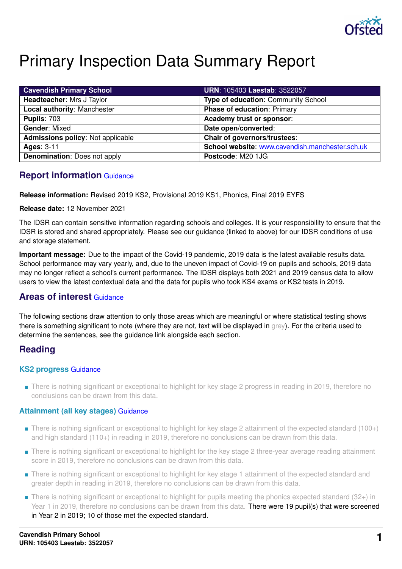

# Primary Inspection Data Summary Report

| <b>Cavendish Primary School</b>          | <b>URN: 105403 Laestab: 3522057</b>             |
|------------------------------------------|-------------------------------------------------|
| Headteacher: Mrs J Taylor                | <b>Type of education: Community School</b>      |
| Local authority: Manchester              | <b>Phase of education: Primary</b>              |
| <b>Pupils: 703</b>                       | Academy trust or sponsor:                       |
| <b>Gender: Mixed</b>                     | Date open/converted:                            |
| <b>Admissions policy: Not applicable</b> | Chair of governors/trustees:                    |
| <b>Ages: 3-11</b>                        | School website: www.cavendish.manchester.sch.uk |
| <b>Denomination: Does not apply</b>      | Postcode: M20 1JG                               |

# **Report information** [Guidance](https://www.gov.uk/guidance/school-inspection-data-summary-report-idsr-guide#report-information)

**Release information:** Revised 2019 KS2, Provisional 2019 KS1, Phonics, Final 2019 EYFS

**Release date:** 12 November 2021

The IDSR can contain sensitive information regarding schools and colleges. It is your responsibility to ensure that the IDSR is stored and shared appropriately. Please see our guidance (linked to above) for our IDSR conditions of use and storage statement.

**Important message:** Due to the impact of the Covid-19 pandemic, 2019 data is the latest available results data. School performance may vary yearly, and, due to the uneven impact of Covid-19 on pupils and schools, 2019 data may no longer reflect a school's current performance. The IDSR displays both 2021 and 2019 census data to allow users to view the latest contextual data and the data for pupils who took KS4 exams or KS2 tests in 2019.

# **Areas of interest** [Guidance](https://www.gov.uk/guidance/school-inspection-data-summary-report-idsr-guide#areas-interest)

The following sections draw attention to only those areas which are meaningful or where statistical testing shows there is something significant to note (where they are not, text will be displayed in grey). For the criteria used to determine the sentences, see the guidance link alongside each section.

# **Reading**

#### **KS2 progress** [Guidance](https://www.gov.uk/guidance/school-inspection-data-summary-report-idsr-guide#primary-progress-reading-writing-and-mathematics)

■ There is nothing significant or exceptional to highlight for key stage 2 progress in reading in 2019, therefore no conclusions can be drawn from this data.

## **Attainment (all key stages)** [Guidance](https://www.gov.uk/guidance/school-inspection-data-summary-report-idsr-guide#primary-attainment-reading-writing-and-mathematics)

- There is nothing significant or exceptional to highlight for key stage 2 attainment of the expected standard (100+) and high standard (110+) in reading in 2019, therefore no conclusions can be drawn from this data.
- There is nothing significant or exceptional to highlight for the key stage 2 three-year average reading attainment score in 2019, therefore no conclusions can be drawn from this data.
- There is nothing significant or exceptional to highlight for key stage 1 attainment of the expected standard and greater depth in reading in 2019, therefore no conclusions can be drawn from this data.
- There is nothing significant or exceptional to highlight for pupils meeting the phonics expected standard (32+) in Year 1 in 2019, therefore no conclusions can be drawn from this data. There were 19 pupil(s) that were screened in Year 2 in 2019; 10 of those met the expected standard.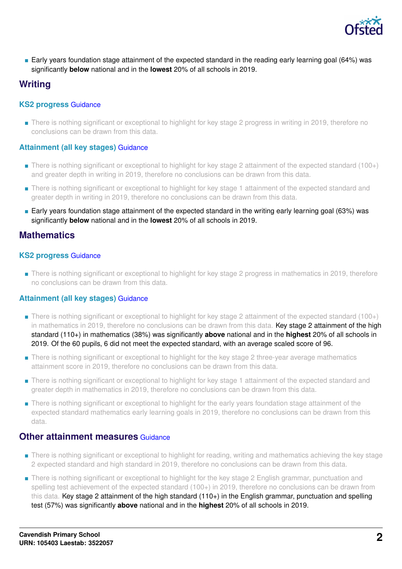

■ Early years foundation stage attainment of the expected standard in the reading early learning goal (64%) was significantly **below** national and in the **lowest** 20% of all schools in 2019.

# **Writing**

#### **KS2 progress** [Guidance](https://www.gov.uk/guidance/school-inspection-data-summary-report-idsr-guide#primary-progress-reading-writing-and-mathematics)

■ There is nothing significant or exceptional to highlight for key stage 2 progress in writing in 2019, therefore no conclusions can be drawn from this data.

#### **Attainment (all key stages)** [Guidance](https://www.gov.uk/guidance/school-inspection-data-summary-report-idsr-guide#primary-attainment-reading-writing-and-mathematics)

- There is nothing significant or exceptional to highlight for key stage 2 attainment of the expected standard (100+) and greater depth in writing in 2019, therefore no conclusions can be drawn from this data.
- There is nothing significant or exceptional to highlight for key stage 1 attainment of the expected standard and greater depth in writing in 2019, therefore no conclusions can be drawn from this data.
- Early years foundation stage attainment of the expected standard in the writing early learning goal (63%) was significantly **below** national and in the **lowest** 20% of all schools in 2019.

## **Mathematics**

#### **KS2 progress** [Guidance](https://www.gov.uk/guidance/school-inspection-data-summary-report-idsr-guide#primary-progress-reading-writing-and-mathematics)

■ There is nothing significant or exceptional to highlight for key stage 2 progress in mathematics in 2019, therefore no conclusions can be drawn from this data.

#### **Attainment (all key stages)** [Guidance](https://www.gov.uk/guidance/school-inspection-data-summary-report-idsr-guide#primary-attainment-reading-writing-and-mathematics)

- There is nothing significant or exceptional to highlight for key stage 2 attainment of the expected standard (100+) in mathematics in 2019, therefore no conclusions can be drawn from this data. Key stage 2 attainment of the high standard (110+) in mathematics (38%) was significantly **above** national and in the **highest** 20% of all schools in 2019. Of the 60 pupils, 6 did not meet the expected standard, with an average scaled score of 96.
- There is nothing significant or exceptional to highlight for the key stage 2 three-year average mathematics attainment score in 2019, therefore no conclusions can be drawn from this data.
- There is nothing significant or exceptional to highlight for key stage 1 attainment of the expected standard and greater depth in mathematics in 2019, therefore no conclusions can be drawn from this data.
- There is nothing significant or exceptional to highlight for the early years foundation stage attainment of the expected standard mathematics early learning goals in 2019, therefore no conclusions can be drawn from this data.

#### **Other attainment measures [Guidance](https://www.gov.uk/guidance/school-inspection-data-summary-report-idsr-guide#primary-other-measures)**

- There is nothing significant or exceptional to highlight for reading, writing and mathematics achieving the key stage 2 expected standard and high standard in 2019, therefore no conclusions can be drawn from this data.
- There is nothing significant or exceptional to highlight for the key stage 2 English grammar, punctuation and spelling test achievement of the expected standard (100+) in 2019, therefore no conclusions can be drawn from this data. Key stage 2 attainment of the high standard (110+) in the English grammar, punctuation and spelling test (57%) was significantly **above** national and in the **highest** 20% of all schools in 2019.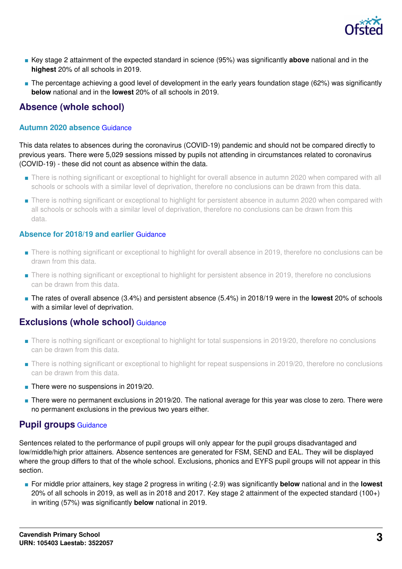

- Key stage 2 attainment of the expected standard in science (95%) was significantly **above** national and in the **highest** 20% of all schools in 2019.
- The percentage achieving a good level of development in the early years foundation stage (62%) was significantly **below** national and in the **lowest** 20% of all schools in 2019.

# **Absence (whole school)**

#### **Autumn 2020 absence** [Guidance](https://www.gov.uk/guidance/school-inspection-data-summary-report-idsr-guide#autumnabsence)

This data relates to absences during the coronavirus (COVID-19) pandemic and should not be compared directly to previous years. There were 5,029 sessions missed by pupils not attending in circumstances related to coronavirus (COVID-19) - these did not count as absence within the data.

- There is nothing significant or exceptional to highlight for overall absence in autumn 2020 when compared with all schools or schools with a similar level of deprivation, therefore no conclusions can be drawn from this data.
- There is nothing significant or exceptional to highlight for persistent absence in autumn 2020 when compared with all schools or schools with a similar level of deprivation, therefore no conclusions can be drawn from this data.

#### **Absence for 2018/19 and earlier** [Guidance](https://www.gov.uk/guidance/school-inspection-data-summary-report-idsr-guide#absence)

- There is nothing significant or exceptional to highlight for overall absence in 2019, therefore no conclusions can be drawn from this data.
- There is nothing significant or exceptional to highlight for persistent absence in 2019, therefore no conclusions can be drawn from this data.
- The rates of overall absence (3.4%) and persistent absence (5.4%) in 2018/19 were in the **lowest** 20% of schools with a similar level of deprivation.

## **Exclusions (whole school)** [Guidance](https://www.gov.uk/guidance/school-inspection-data-summary-report-idsr-guide#exclusions)

- There is nothing significant or exceptional to highlight for total suspensions in 2019/20, therefore no conclusions can be drawn from this data.
- There is nothing significant or exceptional to highlight for repeat suspensions in 2019/20, therefore no conclusions can be drawn from this data.
- There were no suspensions in 2019/20.
- There were no permanent exclusions in 2019/20. The national average for this year was close to zero. There were no permanent exclusions in the previous two years either.

## **Pupil groups** [Guidance](https://www.gov.uk/guidance/school-inspection-data-summary-report-idsr-guide#pupil-groups)

Sentences related to the performance of pupil groups will only appear for the pupil groups disadvantaged and low/middle/high prior attainers. Absence sentences are generated for FSM, SEND and EAL. They will be displayed where the group differs to that of the whole school. Exclusions, phonics and EYFS pupil groups will not appear in this section.

■ For middle prior attainers, key stage 2 progress in writing (-2.9) was significantly **below** national and in the **lowest** 20% of all schools in 2019, as well as in 2018 and 2017. Key stage 2 attainment of the expected standard (100+) in writing (57%) was significantly **below** national in 2019.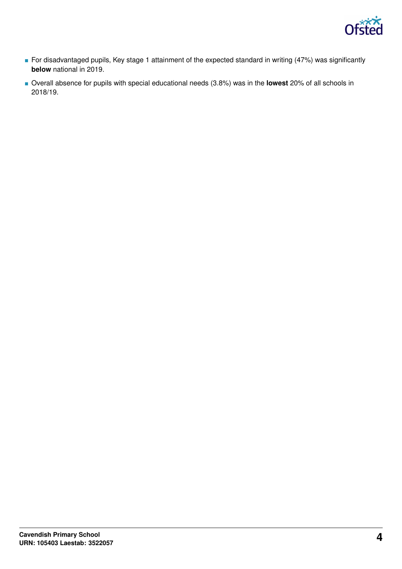

- For disadvantaged pupils, Key stage 1 attainment of the expected standard in writing (47%) was significantly **below** national in 2019.
- Overall absence for pupils with special educational needs (3.8%) was in the **lowest** 20% of all schools in 2018/19.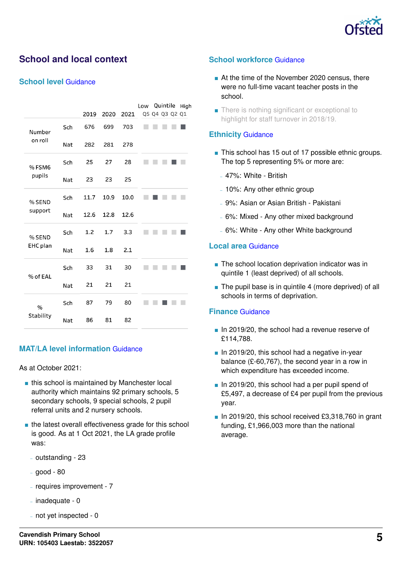

# **School and local context**

#### **School level** [Guidance](https://www.gov.uk/guidance/school-inspection-data-summary-report-idsr-guide#school-level)

|           |     |      |      |      | Low | Quintile       | High |
|-----------|-----|------|------|------|-----|----------------|------|
|           |     | 2019 | 2020 | 2021 |     | Q5 Q4 Q3 Q2 Q1 |      |
| Number    | Sch | 676  | 699  | 703  |     |                |      |
| on roll   | Nat | 282  | 281  | 278  |     |                |      |
| % FSM6    | Sch | 25   | 27   | 28   |     |                |      |
| pupils    | Nat | 23   | 23   | 25   |     |                |      |
| % SEND    | Sch | 11.7 | 10.9 | 10.0 |     |                |      |
| support   | Nat | 12.6 | 12.8 | 12.6 |     |                |      |
| % SEND    | Sch | 1.2  | 1.7  | 3.3  |     |                |      |
| EHC plan  | Nat | 1.6  | 1.8  | 2.1  |     |                |      |
| % of EAL  | Sch | 33   | 31   | 30   |     |                |      |
|           | Nat | 21   | 21   | 21   |     |                |      |
| $\%$      | Sch | 87   | 79   | 80   |     |                |      |
| Stability | Nat | 86   | 81   | 82   |     |                |      |

#### **MAT/LA level information** [Guidance](https://www.gov.uk/guidance/school-inspection-data-summary-report-idsr-guide#multi-academy)

As at October 2021:

- this school is maintained by Manchester local authority which maintains 92 primary schools, 5 secondary schools, 9 special schools, 2 pupil referral units and 2 nursery schools.
- the latest overall effectiveness grade for this school is good. As at 1 Oct 2021, the LA grade profile was:
	- outstanding 23
	- good 80
	- requires improvement 7
	- $-$  inadequate  $-0$
	- not yet inspected 0

#### **School workforce** [Guidance](https://www.gov.uk/guidance/school-inspection-data-summary-report-idsr-guide#school-workforce)

- At the time of the November 2020 census, there were no full-time vacant teacher posts in the school.
- There is nothing significant or exceptional to highlight for staff turnover in 2018/19.

#### **Ethnicity** [Guidance](https://www.gov.uk/guidance/school-inspection-data-summary-report-idsr-guide#ethnicity)

- This school has 15 out of 17 possible ethnic groups. The top 5 representing 5% or more are:
	- 47%: White British
	- 10%: Any other ethnic group
	- 9%: Asian or Asian British Pakistani
	- 6%: Mixed Any other mixed background
	- 6%: White Any other White background

#### **Local area** [Guidance](https://www.gov.uk/guidance/school-inspection-data-summary-report-idsr-guide#local-area)

- The school location deprivation indicator was in quintile 1 (least deprived) of all schools.
- The pupil base is in quintile 4 (more deprived) of all schools in terms of deprivation.

#### **Finance** [Guidance](https://www.gov.uk/guidance/school-inspection-data-summary-report-idsr-guide#finance)

- In 2019/20, the school had a revenue reserve of £114,788.
- In 2019/20, this school had a negative in-year balance (£-60,767), the second year in a row in which expenditure has exceeded income.
- In 2019/20, this school had a per pupil spend of £5,497, a decrease of £4 per pupil from the previous year.
- In 2019/20, this school received £3,318,760 in grant funding, £1,966,003 more than the national average.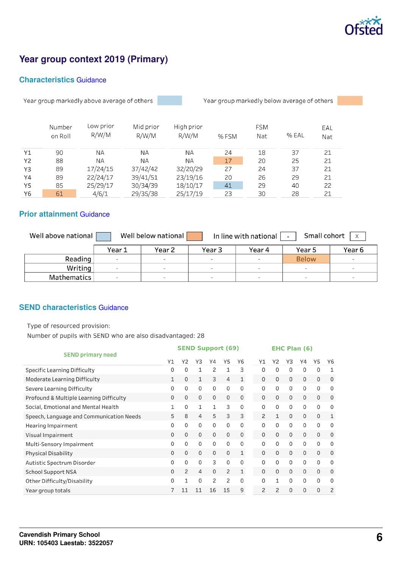

# **Year group context 2019 (Primary)**

#### **Characteristics** [Guidance](https://www.gov.uk/guidance/school-inspection-data-summary-report-idsr-guide#characteristics)

Year group markedly above average of others



Year group markedly below average of others

|    | Number  | Low prior | Mid prior | High prior |      | <b>FSM</b> |       | EAL |
|----|---------|-----------|-----------|------------|------|------------|-------|-----|
|    | on Roll | R/W/M     | R/W/M     | R/W/M      | %FSM | Nat        | % EAL | Nat |
| Y1 | 90      | ΝA        | ΝA        | <b>NA</b>  | 24   | 18         | 37    | 21  |
| Y2 | 88      | ΝA        | ΝA        | ΝA         | 17   | 20         | 25    | 21  |
| Y3 | 89      | 17/24/15  | 37/42/42  | 32/20/29   | 27   | 24         | 37    | 21  |
| Y4 | 89      | 22/24/17  | 39/41/51  | 23/19/16   | 20   | 26         | 29    | 21  |
| Y5 | 85      | 25/29/17  | 30/34/39  | 18/10/17   | 41   | 29         | 40    | 22  |
| Y6 | 61      | 4/6/1     | 29/35/38  | 25/17/19   | 23   | 30         | 28    | 21  |

## **Prior attainment** [Guidance](https://www.gov.uk/guidance/school-inspection-data-summary-report-idsr-guide#prior-attainment)

| Well above national | Small cohort<br>Well below national<br>In line with national<br>$\mathsf{X}$<br>$\blacksquare$ |        |        |        |                          |        |  |  |  |  |  |  |
|---------------------|------------------------------------------------------------------------------------------------|--------|--------|--------|--------------------------|--------|--|--|--|--|--|--|
|                     | Year 1                                                                                         | Year 2 | Year 3 | Year 4 | Year 5                   | Year 6 |  |  |  |  |  |  |
| Reading             | $\sim$                                                                                         | $\sim$ | $\sim$ | $\sim$ | <b>Below</b>             | $\sim$ |  |  |  |  |  |  |
| Writing             |                                                                                                |        | $\sim$ | $\sim$ | $\overline{\phantom{a}}$ | ۰.     |  |  |  |  |  |  |
| <b>Mathematics</b>  |                                                                                                |        | $\sim$ | $\sim$ | $\sim$                   | $\sim$ |  |  |  |  |  |  |

#### **SEND characteristics** [Guidance](https://www.gov.uk/guidance/school-inspection-data-summary-report-idsr-guide#send)

Type of resourced provision:

Number of pupils with SEND who are also disadvantaged: 28

| <b>SEND primary need</b>                 |              | <b>SEND Support (69)</b> |              |              |    |                |  | <b>EHC Plan (6)</b> |          |              |          |              |             |
|------------------------------------------|--------------|--------------------------|--------------|--------------|----|----------------|--|---------------------|----------|--------------|----------|--------------|-------------|
|                                          |              | Y2                       | Y3           | Υ4           | Y5 | Y6             |  | Y1                  | Υ2       | Y3           | Y4       | Y5           | Y6          |
| <b>Specific Learning Difficulty</b>      | 0            | 0                        | 1            | 2            | 1  | 3              |  | 0                   | $\Omega$ | 0            | 0        | 0            | 1           |
| Moderate Learning Difficulty             | $\mathbf{1}$ | 0                        | 1            | 3            | 4  | $\mathbf{1}$   |  | $\mathbf 0$         | $\Omega$ | $\mathbf 0$  | $\Omega$ | 0            | 0           |
| Severe Learning Difficulty               | 0            | 0                        | $\Omega$     | $\Omega$     | 0  | $\Omega$       |  | $\Omega$            | $\Omega$ | $\Omega$     | $\Omega$ | $\mathbf 0$  | $\mathbf 0$ |
| Profound & Multiple Learning Difficulty  | 0            | 0                        | $\mathbf 0$  | $\mathbf{0}$ | 0  | $\mathbf 0$    |  | $\mathbf 0$         | $\Omega$ | 0            | 0        | 0            | 0           |
| Social, Emotional and Mental Health      | 1            | 0                        | 1            | $\mathbf{1}$ | 3  | 0              |  | 0                   | $\Omega$ | $\Omega$     | $\Omega$ | $\mathbf{0}$ | 0           |
| Speech, Language and Communication Needs | 5            | 8                        | 4            | 5            | 3  | 3              |  | 2                   | 1        | $\mathbf{0}$ | $\Omega$ | $\mathbf{0}$ | 1           |
| <b>Hearing Impairment</b>                | 0            | 0                        | $\mathbf{0}$ | $\Omega$     | 0  | $\mathbf{0}$   |  | $\Omega$            | $\Omega$ | 0            | 0        | $\mathbf{0}$ | 0           |
| Visual Impairment                        | 0            | $\Omega$                 | $\Omega$     | $\Omega$     | 0  | $\mathbf 0$    |  | $\Omega$            | $\Omega$ | $\Omega$     | $\Omega$ | $\Omega$     | $\mathbf 0$ |
| Multi-Sensory Impairment                 | 0            | 0                        | $\mathbf 0$  | $\Omega$     | 0  | $\Omega$       |  | $\Omega$            | 0        | 0            | $\Omega$ | $\Omega$     | 0           |
| <b>Physical Disability</b>               | $\Omega$     | $\Omega$                 | $\Omega$     | $\Omega$     | 0  | $\mathbf{1}$   |  | $\Omega$            | $\Omega$ | $\Omega$     | $\Omega$ | $\Omega$     | $\mathbf 0$ |
| Autistic Spectrum Disorder               | 0            | $\Omega$                 | $\mathbf 0$  | 3            | 0  | $\Omega$       |  | $\Omega$            | $\Omega$ | $\Omega$     | $\Omega$ | $\Omega$     | 0           |
| <b>School Support NSA</b>                | 0            | 2                        | 4            | $\Omega$     | 2  | $\mathbf{1}$   |  | $\Omega$            | $\Omega$ | $\mathbf{0}$ | 0        | $\Omega$     | $\mathbf 0$ |
| Other Difficulty/Disability              | O            |                          | $\Omega$     | 2            | 2  | $\Omega$       |  | $\Omega$            | 1        | $\Omega$     | $\Omega$ | $\Omega$     | 0           |
| Year group totals                        |              | 11                       | 11           | 16           | 15 | $\overline{9}$ |  | $\overline{2}$      | 2        | 0            | 0        | $\Omega$     | 2           |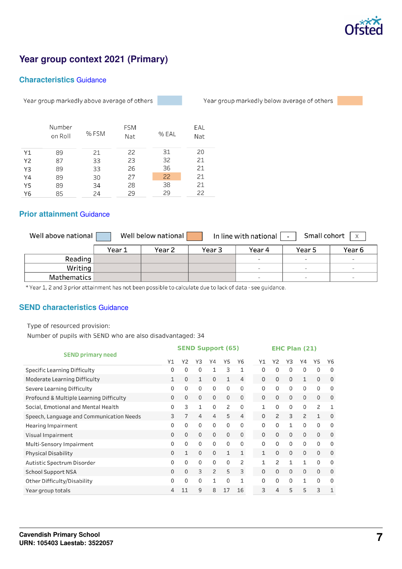

# **Year group context 2021 (Primary)**

#### **Characteristics** [Guidance](https://www.gov.uk/guidance/school-inspection-data-summary-report-idsr-guide#characteristics)

Year group markedly above average of others

Year group markedly below average of others

|    | Number<br>on Roll | % FSM | <b>FSM</b><br>Nat | % EAL | EAL<br>Nat |
|----|-------------------|-------|-------------------|-------|------------|
| Υ1 | 89                | 21    | 22                | 31    | 20         |
| Y2 | 87                | 33    | 23                | 32    | 21         |
| Y3 | 89                | 33    | 26                | 36    | 21         |
| Υ4 | 89                | 30    | 27                | 22    | 21         |
| Y5 | 89                | 34    | 28                | 38    | 21         |
| Y6 | 85                | 24    | 29                | 29    | 22         |

#### **Prior attainment** [Guidance](https://www.gov.uk/guidance/school-inspection-data-summary-report-idsr-guide#prior-attainment)

| Well above national |        | Well below national |        | In line with national | Small cohort<br>$\mathsf{X}$ |        |
|---------------------|--------|---------------------|--------|-----------------------|------------------------------|--------|
|                     | Year 1 | Year 2              | Year 3 | Year 4                | Year 5                       | Year 6 |
| Reading             |        |                     |        |                       | $\equiv$                     | $\sim$ |
| Writing             |        |                     |        | $\sim$                | -                            | $\sim$ |
| Mathematics         |        |                     |        |                       | $\sim$                       | $\sim$ |

\* Year 1, 2 and 3 prior attainment has not been possible to calculate due to lack of data - see guidance.

#### **SEND characteristics** [Guidance](https://www.gov.uk/guidance/school-inspection-data-summary-report-idsr-guide#send)

Type of resourced provision:

Number of pupils with SEND who are also disadvantaged: 34

|                                          | <b>SEND Support (65)</b> |          |                |          |             |                | <b>EHC Plan (21)</b> |                |              |          |              |              |  |
|------------------------------------------|--------------------------|----------|----------------|----------|-------------|----------------|----------------------|----------------|--------------|----------|--------------|--------------|--|
| <b>SEND primary need</b>                 | Y1                       | Y2       | Y3             | Υ4       | Y5          | Y6             | Y1                   | Y2             | Y3           | Y4       | Y5           | Y6           |  |
| <b>Specific Learning Difficulty</b>      | 0                        | 0        | 0              | 1        | 3           | 1              | $\Omega$             | $\Omega$       | $\Omega$     | 0        | 0            | $\Omega$     |  |
| <b>Moderate Learning Difficulty</b>      | 1                        | 0        | $\mathbf{1}$   | 0        |             | 4              | 0                    | 0              | 0            | 1        | $\mathbf 0$  | $\mathbf 0$  |  |
| Severe Learning Difficulty               | 0                        | 0        | 0              | 0        | 0           | 0              | 0                    | 0              | 0            | $\Omega$ | 0            | 0            |  |
| Profound & Multiple Learning Difficulty  | $\Omega$                 | 0        | 0              | 0        | 0           | $\mathbf 0$    | 0                    | $\Omega$       | 0            | $\Omega$ | 0            | 0            |  |
| Social, Emotional and Mental Health      | 0                        | 3        | 1              | 0        | 2           | $\mathbf{0}$   | $\mathbf{1}$         | 0              | 0            | 0        | 2            | $\mathbf{1}$ |  |
| Speech, Language and Communication Needs | 3                        |          | $\overline{4}$ | 4        | 5           | $\overline{4}$ | $\Omega$             | $\overline{c}$ | 3            | 2        | 1            | $\mathbf 0$  |  |
| Hearing Impairment                       | 0                        | 0        | 0              | 0        | 0           | 0              | $\Omega$             | $\Omega$       | 1            | $\Omega$ | $\mathbf{0}$ | $\Omega$     |  |
| Visual Impairment                        | $\Omega$                 | $\Omega$ | 0              | 0        | $\mathbf 0$ | $\mathbf 0$    | $\Omega$             | $\Omega$       | $\Omega$     | $\Omega$ | $\mathbf 0$  | $\Omega$     |  |
| Multi-Sensory Impairment                 | 0                        | 0        | 0              | $\Omega$ | 0           | $\mathbf 0$    | $\Omega$             | 0              | 0            | $\Omega$ | 0            | 0            |  |
| <b>Physical Disability</b>               | $\Omega$                 | 1        | 0              | 0        | 1           | 1              | 1                    | $\Omega$       | $\mathbf 0$  | $\Omega$ | $\mathbf 0$  | $\mathbf 0$  |  |
| Autistic Spectrum Disorder               | 0                        | 0        | 0              | 0        | 0           | $\overline{c}$ | $\mathbf{1}$         | 2              | 1            | 1        | $\Omega$     | $\Omega$     |  |
| <b>School Support NSA</b>                | 0                        | 0        | 3              | 2        | 5           | 3              | $\Omega$             | $\Omega$       | $\mathbf{0}$ | $\Omega$ | $\mathbf{0}$ | $\mathbf 0$  |  |
| Other Difficulty/Disability              | 0                        | 0        | 0              | 1        | 0           | $\mathbf{1}$   | $\Omega$             | 0              | 0            | 1        | $\Omega$     | $\Omega$     |  |
| Year group totals                        | 4                        | 11       | 9              | 8        | 17          | 16             | 3                    | 4              | 5            | 5        | 3            | 1            |  |